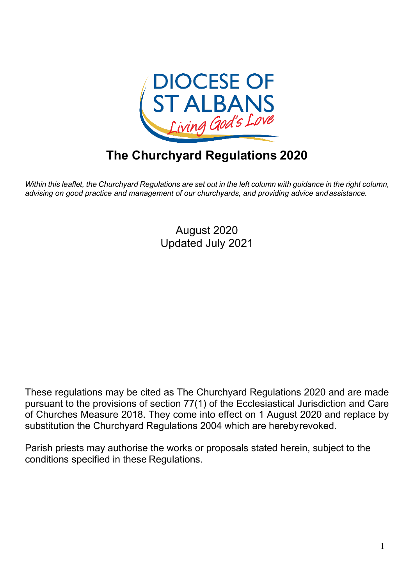

# **The Churchyard Regulations 2020**

Within this leaflet, the Churchyard Regulations are set out in the left column with guidance in the right column, *advising on good practice and management of our churchyards, and providing advice andassistance.*

> August 2020 Updated July 2021

These regulations may be cited as The Churchyard Regulations 2020 and are made pursuant to the provisions of section 77(1) of the Ecclesiastical Jurisdiction and Care of Churches Measure 2018. They come into effect on 1 August 2020 and replace by substitution the Churchyard Regulations 2004 which are herebyrevoked.

Parish priests may authorise the works or proposals stated herein, subject to the conditions specified in these Regulations.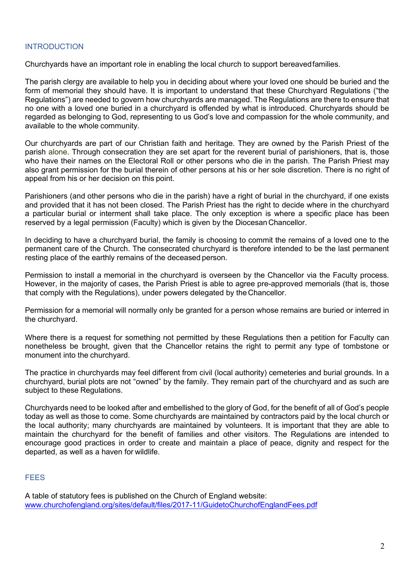#### <span id="page-1-0"></span>INTRODUCTION

Churchyards have an important role in enabling the local church to support bereavedfamilies.

The parish clergy are available to help you in deciding about where your loved one should be buried and the form of memorial they should have. It is important to understand that these Churchyard Regulations ("the Regulations") are needed to govern how churchyards are managed. The Regulations are there to ensure that no one with a loved one buried in a churchyard is offended by what is introduced. Churchyards should be regarded as belonging to God, representing to us God's love and compassion for the whole community, and available to the whole community.

Our churchyards are part of our Christian faith and heritage. They are owned by the Parish Priest of the parish alone. Through consecration they are set apart for the reverent burial of parishioners, that is, those who have their names on the Electoral Roll or other persons who die in the parish. The Parish Priest may also grant permission for the burial therein of other persons at his or her sole discretion. There is no right of appeal from his or her decision on this point.

Parishioners (and other persons who die in the parish) have a right of burial in the churchyard, if one exists and provided that it has not been closed. The Parish Priest has the right to decide where in the churchyard a particular burial or interment shall take place. The only exception is where a specific place has been reserved by a legal permission (Faculty) which is given by the Diocesan Chancellor.

In deciding to have a churchyard burial, the family is choosing to commit the remains of a loved one to the permanent care of the Church. The consecrated churchyard is therefore intended to be the last permanent resting place of the earthly remains of the deceased person.

Permission to install a memorial in the churchyard is overseen by the Chancellor via the Faculty process. However, in the majority of cases, the Parish Priest is able to agree pre-approved memorials (that is, those that comply with the Regulations), under powers delegated by the Chancellor.

Permission for a memorial will normally only be granted for a person whose remains are buried or interred in the churchyard.

Where there is a request for something not permitted by these Regulations then a petition for Faculty can nonetheless be brought, given that the Chancellor retains the right to permit any type of tombstone or monument into the churchyard.

The practice in churchyards may feel different from civil (local authority) cemeteries and burial grounds. In a churchyard, burial plots are not "owned" by the family. They remain part of the churchyard and as such are subject to these Regulations.

Churchyards need to be looked after and embellished to the glory of God, for the benefit of all of God's people today as well as those to come. Some churchyards are maintained by contractors paid by the local church or the local authority; many churchyards are maintained by volunteers. It is important that they are able to maintain the churchyard for the benefit of families and other visitors. The Regulations are intended to encourage good practices in order to create and maintain a place of peace, dignity and respect for the departed, as well as a haven for wildlife.

#### <span id="page-1-1"></span>**FEES**

A table of statutory fees is published on the Church of England website: [www.churchofengland.org/sites/default/files/2017-11/GuidetoChurchofEnglandFees.pdf](https://www.churchofengland.org/sites/default/files/2017-11/Guide%20to%20Church%20of%20England%20Fees.pdf)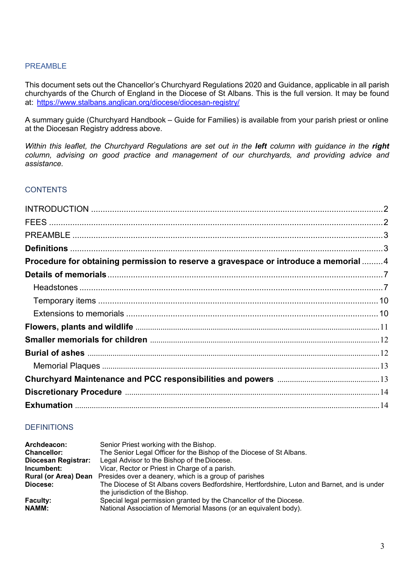#### <span id="page-2-0"></span>PREAMBLE

This document sets out the Chancellor's Churchyard Regulations 2020 and Guidance, applicable in all parish churchyards of the Church of England in the Diocese of St Albans. This is the full version. It may be found at: <https://www.stalbans.anglican.org/diocese/diocesan-registry/>

A summary guide (Churchyard Handbook – Guide for Families) is available from your parish priest or online at the Diocesan Registry address above.

*Within this leaflet, the Churchyard Regulations are set out in the left column with guidance in the right column, advising on good practice and management of our churchyards, and providing advice and assistance.*

#### **CONTENTS**

| Procedure for obtaining permission to reserve a gravespace or introduce a memorial  4 |  |
|---------------------------------------------------------------------------------------|--|
|                                                                                       |  |
|                                                                                       |  |
|                                                                                       |  |
|                                                                                       |  |
|                                                                                       |  |
|                                                                                       |  |
|                                                                                       |  |
|                                                                                       |  |
|                                                                                       |  |
|                                                                                       |  |
|                                                                                       |  |
|                                                                                       |  |

#### <span id="page-2-1"></span>**DEFINITIONS**

| Archdeacon:         | Senior Priest working with the Bishop.                                                      |
|---------------------|---------------------------------------------------------------------------------------------|
| <b>Chancellor:</b>  | The Senior Legal Officer for the Bishop of the Diocese of St Albans.                        |
| Diocesan Registrar: | Legal Advisor to the Bishop of the Diocese.                                                 |
| Incumbent:          | Vicar, Rector or Priest in Charge of a parish.                                              |
|                     | <b>Rural (or Area) Dean</b> Presides over a deanery, which is a group of parishes           |
| Diocese:            | The Diocese of St Albans covers Bedfordshire, Hertfordshire, Luton and Barnet, and is under |
|                     | the jurisdiction of the Bishop.                                                             |
| <b>Faculty:</b>     | Special legal permission granted by the Chancellor of the Diocese.                          |
| <b>NAMM:</b>        | National Association of Memorial Masons (or an equivalent body).                            |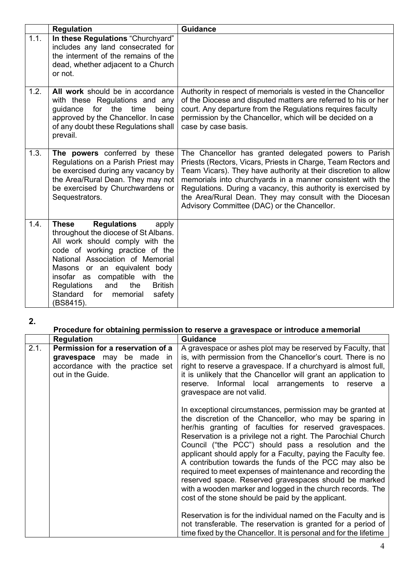|      | <b>Regulation</b>                                                                                                                                                                                                                                                                                                                                                    | <b>Guidance</b>                                                                                                                                                                                                                                                                                                                                                                                                                   |
|------|----------------------------------------------------------------------------------------------------------------------------------------------------------------------------------------------------------------------------------------------------------------------------------------------------------------------------------------------------------------------|-----------------------------------------------------------------------------------------------------------------------------------------------------------------------------------------------------------------------------------------------------------------------------------------------------------------------------------------------------------------------------------------------------------------------------------|
| 1.1. | In these Regulations "Churchyard"<br>includes any land consecrated for<br>the interment of the remains of the<br>dead, whether adjacent to a Church<br>or not.                                                                                                                                                                                                       |                                                                                                                                                                                                                                                                                                                                                                                                                                   |
| 1.2. | All work should be in accordance<br>with these Regulations and any<br>guidance<br>for<br>the<br>time<br>being<br>approved by the Chancellor. In case<br>of any doubt these Regulations shall<br>prevail.                                                                                                                                                             | Authority in respect of memorials is vested in the Chancellor<br>of the Diocese and disputed matters are referred to his or her<br>court. Any departure from the Regulations requires faculty<br>permission by the Chancellor, which will be decided on a<br>case by case basis.                                                                                                                                                  |
| 1.3. | The powers conferred by these<br>Regulations on a Parish Priest may<br>be exercised during any vacancy by<br>the Area/Rural Dean. They may not<br>be exercised by Churchwardens or<br>Sequestrators.                                                                                                                                                                 | The Chancellor has granted delegated powers to Parish<br>Priests (Rectors, Vicars, Priests in Charge, Team Rectors and<br>Team Vicars). They have authority at their discretion to allow<br>memorials into churchyards in a manner consistent with the<br>Regulations. During a vacancy, this authority is exercised by<br>the Area/Rural Dean. They may consult with the Diocesan<br>Advisory Committee (DAC) or the Chancellor. |
| 1.4. | <b>These</b><br><b>Regulations</b><br>apply<br>throughout the diocese of St Albans.<br>All work should comply with the<br>code of working practice of the<br>National Association of Memorial<br>Masons or an equivalent body<br>insofar as compatible with the<br>Regulations<br>the<br><b>British</b><br>and<br>Standard<br>for<br>memorial<br>safety<br>(BS8415). |                                                                                                                                                                                                                                                                                                                                                                                                                                   |

### **Procedure for obtaining permission to reserve a gravespace or introduce amemorial**

<span id="page-3-0"></span>

|      | <b>Regulation</b>                                                                                                       | <b>Guidance</b>                                                                                                                                                                                                                                                                                                                                                                                                                                                                                                                                                                                                                                                                                                                                                                                                                                                                       |
|------|-------------------------------------------------------------------------------------------------------------------------|---------------------------------------------------------------------------------------------------------------------------------------------------------------------------------------------------------------------------------------------------------------------------------------------------------------------------------------------------------------------------------------------------------------------------------------------------------------------------------------------------------------------------------------------------------------------------------------------------------------------------------------------------------------------------------------------------------------------------------------------------------------------------------------------------------------------------------------------------------------------------------------|
| 2.1. | Permission for a reservation of a<br>gravespace may be made in<br>accordance with the practice set<br>out in the Guide. | A gravespace or ashes plot may be reserved by Faculty, that<br>is, with permission from the Chancellor's court. There is no<br>right to reserve a gravespace. If a churchyard is almost full,<br>it is unlikely that the Chancellor will grant an application to<br>reserve. Informal local arrangements to reserve a<br>gravespace are not valid.                                                                                                                                                                                                                                                                                                                                                                                                                                                                                                                                    |
|      |                                                                                                                         | In exceptional circumstances, permission may be granted at<br>the discretion of the Chancellor, who may be sparing in<br>her/his granting of faculties for reserved gravespaces.<br>Reservation is a privilege not a right. The Parochial Church<br>Council ("the PCC") should pass a resolution and the<br>applicant should apply for a Faculty, paying the Faculty fee.<br>A contribution towards the funds of the PCC may also be<br>required to meet expenses of maintenance and recording the<br>reserved space. Reserved gravespaces should be marked<br>with a wooden marker and logged in the church records. The<br>cost of the stone should be paid by the applicant.<br>Reservation is for the individual named on the Faculty and is<br>not transferable. The reservation is granted for a period of<br>time fixed by the Chancellor. It is personal and for the lifetime |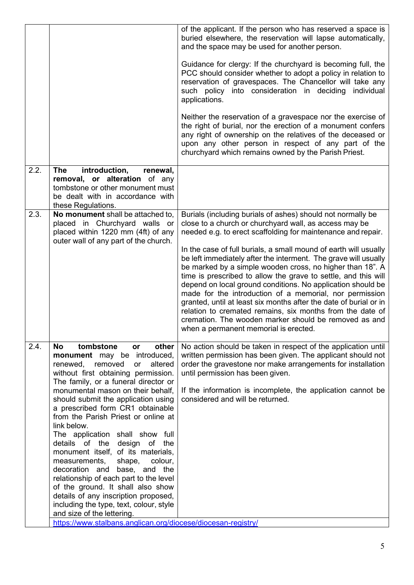|      |                                                                                                                                                                                                                                                                                                                                                                                                                                                                                                                                                                                                                                                                                                                                                                                                                         | of the applicant. If the person who has reserved a space is<br>buried elsewhere, the reservation will lapse automatically,<br>and the space may be used for another person.<br>Guidance for clergy: If the churchyard is becoming full, the<br>PCC should consider whether to adopt a policy in relation to<br>reservation of gravespaces. The Chancellor will take any<br>such policy into consideration in deciding<br>individual<br>applications.<br>Neither the reservation of a gravespace nor the exercise of<br>the right of burial, nor the erection of a monument confers<br>any right of ownership on the relatives of the deceased or<br>upon any other person in respect of any part of the                                                                                                                   |
|------|-------------------------------------------------------------------------------------------------------------------------------------------------------------------------------------------------------------------------------------------------------------------------------------------------------------------------------------------------------------------------------------------------------------------------------------------------------------------------------------------------------------------------------------------------------------------------------------------------------------------------------------------------------------------------------------------------------------------------------------------------------------------------------------------------------------------------|---------------------------------------------------------------------------------------------------------------------------------------------------------------------------------------------------------------------------------------------------------------------------------------------------------------------------------------------------------------------------------------------------------------------------------------------------------------------------------------------------------------------------------------------------------------------------------------------------------------------------------------------------------------------------------------------------------------------------------------------------------------------------------------------------------------------------|
|      |                                                                                                                                                                                                                                                                                                                                                                                                                                                                                                                                                                                                                                                                                                                                                                                                                         | churchyard which remains owned by the Parish Priest.                                                                                                                                                                                                                                                                                                                                                                                                                                                                                                                                                                                                                                                                                                                                                                      |
| 2.2. | introduction,<br>The<br>renewal,<br>removal, or alteration of any<br>tombstone or other monument must<br>be dealt with in accordance with<br>these Regulations.                                                                                                                                                                                                                                                                                                                                                                                                                                                                                                                                                                                                                                                         |                                                                                                                                                                                                                                                                                                                                                                                                                                                                                                                                                                                                                                                                                                                                                                                                                           |
| 2.3. | No monument shall be attached to,<br>placed in Churchyard walls or<br>placed within 1220 mm (4ft) of any<br>outer wall of any part of the church.                                                                                                                                                                                                                                                                                                                                                                                                                                                                                                                                                                                                                                                                       | Burials (including burials of ashes) should not normally be<br>close to a church or churchyard wall, as access may be<br>needed e.g. to erect scaffolding for maintenance and repair.<br>In the case of full burials, a small mound of earth will usually<br>be left immediately after the interment. The grave will usually<br>be marked by a simple wooden cross, no higher than 18". A<br>time is prescribed to allow the grave to settle, and this will<br>depend on local ground conditions. No application should be<br>made for the introduction of a memorial, nor permission<br>granted, until at least six months after the date of burial or in<br>relation to cremated remains, six months from the date of<br>cremation. The wooden marker should be removed as and<br>when a permanent memorial is erected. |
| 2.4. | <b>No</b><br>tombstone<br>other<br><b>or</b><br>monument may be introduced,<br>renewed,<br>removed<br>altered<br>or<br>without first obtaining permission.<br>The family, or a funeral director or<br>monumental mason on their behalf,<br>should submit the application using<br>a prescribed form CR1 obtainable<br>from the Parish Priest or online at<br>link below.<br>The application shall show full<br>details of the design of the<br>monument itself, of its materials,<br>measurements,<br>shape,<br>colour,<br>decoration and base, and the<br>relationship of each part to the level<br>of the ground. It shall also show<br>details of any inscription proposed,<br>including the type, text, colour, style<br>and size of the lettering.<br>https://www.stalbans.anglican.org/diocese/diocesan-registry/ | No action should be taken in respect of the application until<br>written permission has been given. The applicant should not<br>order the gravestone nor make arrangements for installation<br>until permission has been given.<br>If the information is incomplete, the application cannot be<br>considered and will be returned.                                                                                                                                                                                                                                                                                                                                                                                                                                                                                        |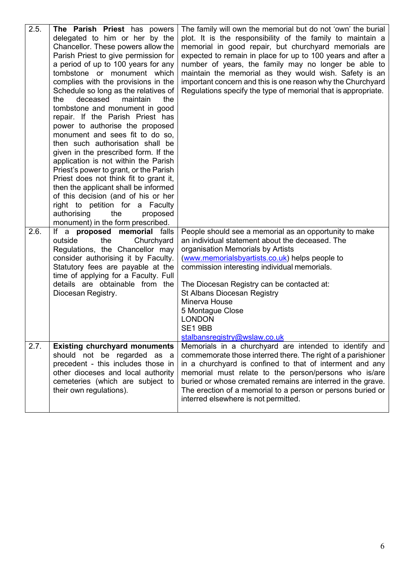| 2.5. | The Parish Priest has powers<br>delegated to him or her by the<br>Chancellor. These powers allow the<br>Parish Priest to give permission for<br>a period of up to 100 years for any<br>tombstone or monument which<br>complies with the provisions in the<br>Schedule so long as the relatives of<br>deceased<br>the<br>maintain<br>the<br>tombstone and monument in good<br>repair. If the Parish Priest has<br>power to authorise the proposed<br>monument and sees fit to do so,<br>then such authorisation shall be<br>given in the prescribed form. If the<br>application is not within the Parish | The family will own the memorial but do not 'own' the burial<br>plot. It is the responsibility of the family to maintain a<br>memorial in good repair, but churchyard memorials are<br>expected to remain in place for up to 100 years and after a<br>number of years, the family may no longer be able to<br>maintain the memorial as they would wish. Safety is an<br>important concern and this is one reason why the Churchyard<br>Regulations specify the type of memorial that is appropriate. |
|------|---------------------------------------------------------------------------------------------------------------------------------------------------------------------------------------------------------------------------------------------------------------------------------------------------------------------------------------------------------------------------------------------------------------------------------------------------------------------------------------------------------------------------------------------------------------------------------------------------------|------------------------------------------------------------------------------------------------------------------------------------------------------------------------------------------------------------------------------------------------------------------------------------------------------------------------------------------------------------------------------------------------------------------------------------------------------------------------------------------------------|
|      | Priest's power to grant, or the Parish<br>Priest does not think fit to grant it,<br>then the applicant shall be informed<br>of this decision (and of his or her<br>right to petition for a Faculty<br>authorising<br>the<br>proposed<br>monument) in the form prescribed.                                                                                                                                                                                                                                                                                                                               |                                                                                                                                                                                                                                                                                                                                                                                                                                                                                                      |
| 2.6. | If a proposed memorial falls<br>Churchyard<br>outside<br>the<br>Regulations, the Chancellor may<br>consider authorising it by Faculty.<br>Statutory fees are payable at the<br>time of applying for a Faculty. Full<br>details are obtainable from the<br>Diocesan Registry.                                                                                                                                                                                                                                                                                                                            | People should see a memorial as an opportunity to make<br>an individual statement about the deceased. The<br>organisation Memorials by Artists<br>(www.memorialsbyartists.co.uk) helps people to<br>commission interesting individual memorials.<br>The Diocesan Registry can be contacted at:<br><b>St Albans Diocesan Registry</b><br>Minerva House<br>5 Montague Close<br><b>LONDON</b><br>SE1 9BB<br>stalbansregistry@wslaw.co.uk                                                                |
| 2.7. | <b>Existing churchyard monuments</b><br>should not be regarded as a<br>precedent - this includes those in<br>other dioceses and local authority<br>cemeteries (which are subject to<br>their own regulations).                                                                                                                                                                                                                                                                                                                                                                                          | Memorials in a churchyard are intended to identify and<br>commemorate those interred there. The right of a parishioner<br>in a churchyard is confined to that of interment and any<br>memorial must relate to the person/persons who is/are<br>buried or whose cremated remains are interred in the grave.<br>The erection of a memorial to a person or persons buried or<br>interred elsewhere is not permitted.                                                                                    |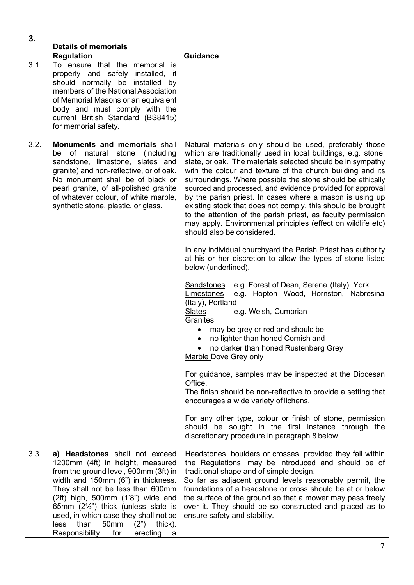<span id="page-6-1"></span><span id="page-6-0"></span>

| 3.   | <b>Details of memorials</b>                                                                                                                                                                                                                                                                                                                                                                                           |                                                                                                                                                                                                                                                                                                                                                                                                                                                                                                                                                                                                                                                                                                                                                                                                                                                                                                                                                                                                                                                                                                                                                                                                                                                                                                                                                                                                                                                                                                          |
|------|-----------------------------------------------------------------------------------------------------------------------------------------------------------------------------------------------------------------------------------------------------------------------------------------------------------------------------------------------------------------------------------------------------------------------|----------------------------------------------------------------------------------------------------------------------------------------------------------------------------------------------------------------------------------------------------------------------------------------------------------------------------------------------------------------------------------------------------------------------------------------------------------------------------------------------------------------------------------------------------------------------------------------------------------------------------------------------------------------------------------------------------------------------------------------------------------------------------------------------------------------------------------------------------------------------------------------------------------------------------------------------------------------------------------------------------------------------------------------------------------------------------------------------------------------------------------------------------------------------------------------------------------------------------------------------------------------------------------------------------------------------------------------------------------------------------------------------------------------------------------------------------------------------------------------------------------|
|      | <b>Regulation</b>                                                                                                                                                                                                                                                                                                                                                                                                     | <b>Guidance</b>                                                                                                                                                                                                                                                                                                                                                                                                                                                                                                                                                                                                                                                                                                                                                                                                                                                                                                                                                                                                                                                                                                                                                                                                                                                                                                                                                                                                                                                                                          |
| 3.1. | To ensure that the memorial is<br>properly and safely installed, it<br>should normally be installed by<br>members of the National Association<br>of Memorial Masons or an equivalent<br>body and must comply with the<br>current British Standard (BS8415)<br>for memorial safety.                                                                                                                                    |                                                                                                                                                                                                                                                                                                                                                                                                                                                                                                                                                                                                                                                                                                                                                                                                                                                                                                                                                                                                                                                                                                                                                                                                                                                                                                                                                                                                                                                                                                          |
| 3.2. | <b>Monuments and memorials shall</b><br>be of natural stone<br>(including)<br>sandstone, limestone, slates and<br>granite) and non-reflective, or of oak.<br>No monument shall be of black or<br>pearl granite, of all-polished granite<br>of whatever colour, of white marble,<br>synthetic stone, plastic, or glass.                                                                                                | Natural materials only should be used, preferably those<br>which are traditionally used in local buildings, e.g. stone,<br>slate, or oak. The materials selected should be in sympathy<br>with the colour and texture of the church building and its<br>surroundings. Where possible the stone should be ethically<br>sourced and processed, and evidence provided for approval<br>by the parish priest. In cases where a mason is using up<br>existing stock that does not comply, this should be brought<br>to the attention of the parish priest, as faculty permission<br>may apply. Environmental principles (effect on wildlife etc)<br>should also be considered.<br>In any individual churchyard the Parish Priest has authority<br>at his or her discretion to allow the types of stone listed<br>below (underlined).<br><u>Sandstones</u><br>e.g. Forest of Dean, Serena (Italy), York<br>e.g. Hopton Wood, Hornston, Nabresina<br>Limestones<br>(Italy), Portland<br><b>Slates</b><br>e.g. Welsh, Cumbrian<br>Granites<br>may be grey or red and should be:<br>$\bullet$<br>no lighter than honed Cornish and<br>$\bullet$<br>no darker than honed Rustenberg Grey<br>Marble Dove Grey only<br>For guidance, samples may be inspected at the Diocesan<br>Office.<br>The finish should be non-reflective to provide a setting that<br>encourages a wide variety of lichens.<br>For any other type, colour or finish of stone, permission<br>should be sought in the first instance through the |
|      |                                                                                                                                                                                                                                                                                                                                                                                                                       | discretionary procedure in paragraph 8 below.                                                                                                                                                                                                                                                                                                                                                                                                                                                                                                                                                                                                                                                                                                                                                                                                                                                                                                                                                                                                                                                                                                                                                                                                                                                                                                                                                                                                                                                            |
| 3.3. | a) Headstones shall not exceed<br>1200mm (4ft) in height, measured<br>from the ground level, 900mm (3ft) in<br>width and 150mm (6") in thickness.<br>They shall not be less than 600mm<br>(2ft) high, 500mm (1'8") wide and<br>65mm $(2\frac{1}{2})$ thick (unless slate is<br>used, in which case they shall not be<br>than<br>50 <sub>mm</sub><br>less<br>(2")<br>thick).<br>Responsibility<br>for<br>erecting<br>a | Headstones, boulders or crosses, provided they fall within<br>the Regulations, may be introduced and should be of<br>traditional shape and of simple design.<br>So far as adjacent ground levels reasonably permit, the<br>foundations of a headstone or cross should be at or below<br>the surface of the ground so that a mower may pass freely<br>over it. They should be so constructed and placed as to<br>ensure safety and stability.                                                                                                                                                                                                                                                                                                                                                                                                                                                                                                                                                                                                                                                                                                                                                                                                                                                                                                                                                                                                                                                             |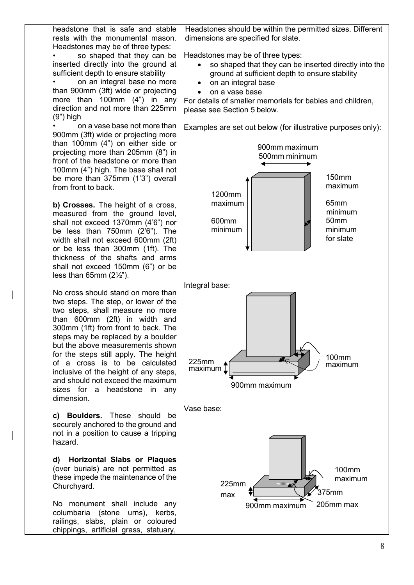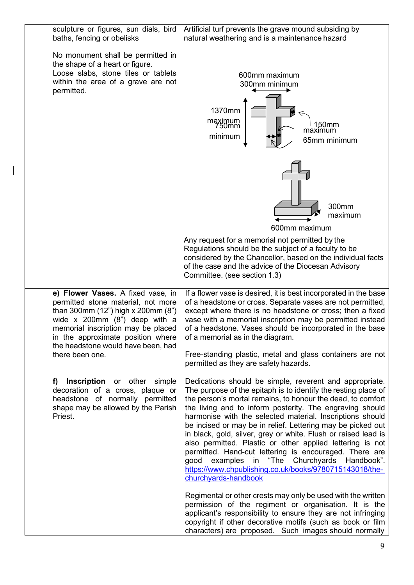| sculpture or figures, sun dials, bird<br>baths, fencing or obelisks                                                                                                                                                                                                                    | Artificial turf prevents the grave mound subsiding by<br>natural weathering and is a maintenance hazard                                                                                                                                                                                                                                                                                                                                                                                                                                                                                                                                                                                                                                                                                                                                  |
|----------------------------------------------------------------------------------------------------------------------------------------------------------------------------------------------------------------------------------------------------------------------------------------|------------------------------------------------------------------------------------------------------------------------------------------------------------------------------------------------------------------------------------------------------------------------------------------------------------------------------------------------------------------------------------------------------------------------------------------------------------------------------------------------------------------------------------------------------------------------------------------------------------------------------------------------------------------------------------------------------------------------------------------------------------------------------------------------------------------------------------------|
| No monument shall be permitted in<br>the shape of a heart or figure.<br>Loose slabs, stone tiles or tablets<br>within the area of a grave are not<br>permitted.                                                                                                                        | 600mm maximum<br>300mm minimum<br>1370mm<br>maximum<br>750mm<br>150mm<br>maximum<br>minimum<br>65mm minimum                                                                                                                                                                                                                                                                                                                                                                                                                                                                                                                                                                                                                                                                                                                              |
|                                                                                                                                                                                                                                                                                        | 300mm<br>maximum<br>600mm maximum<br>Any request for a memorial not permitted by the<br>Regulations should be the subject of a faculty to be<br>considered by the Chancellor, based on the individual facts<br>of the case and the advice of the Diocesan Advisory<br>Committee. (see section 1.3)                                                                                                                                                                                                                                                                                                                                                                                                                                                                                                                                       |
| e) Flower Vases. A fixed vase, in<br>permitted stone material, not more<br>than 300mm (12") high x 200mm (8")<br>wide $x$ 200mm $(8n)$ deep with a<br>memorial inscription may be placed<br>in the approximate position where<br>the headstone would have been, had<br>there been one. | If a flower vase is desired, it is best incorporated in the base<br>of a headstone or cross. Separate vases are not permitted,<br>except where there is no headstone or cross; then a fixed<br>vase with a memorial inscription may be permitted instead<br>of a headstone. Vases should be incorporated in the base<br>of a memorial as in the diagram.<br>Free-standing plastic, metal and glass containers are not<br>permitted as they are safety hazards.                                                                                                                                                                                                                                                                                                                                                                           |
| f)<br>Inscription or other simple<br>decoration of a cross, plaque or<br>headstone of normally permitted<br>shape may be allowed by the Parish<br>Priest.                                                                                                                              | Dedications should be simple, reverent and appropriate.<br>The purpose of the epitaph is to identify the resting place of<br>the person's mortal remains, to honour the dead, to comfort<br>the living and to inform posterity. The engraving should<br>harmonise with the selected material. Inscriptions should<br>be incised or may be in relief. Lettering may be picked out<br>in black, gold, silver, grey or white. Flush or raised lead is<br>also permitted. Plastic or other applied lettering is not<br>permitted. Hand-cut lettering is encouraged. There are<br>examples in "The Churchyards Handbook".<br>good<br>https://www.chpublishing.co.uk/books/9780715143018/the-<br>churchyards-handbook<br>Regimental or other crests may only be used with the written<br>permission of the regiment or organisation. It is the |
|                                                                                                                                                                                                                                                                                        | applicant's responsibility to ensure they are not infringing<br>copyright if other decorative motifs (such as book or film<br>characters) are proposed. Such images should normally                                                                                                                                                                                                                                                                                                                                                                                                                                                                                                                                                                                                                                                      |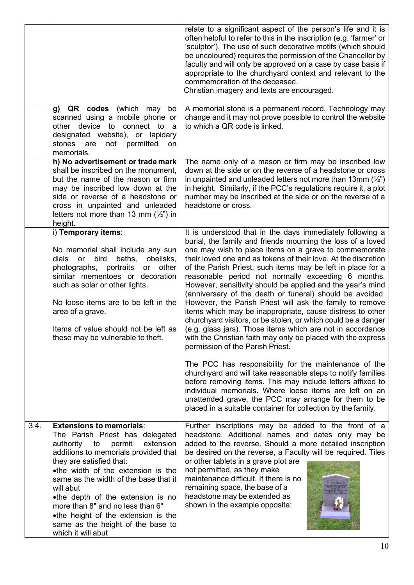<span id="page-9-1"></span><span id="page-9-0"></span>

|      |                                                                                                                                                                                                                                                                                                                                                                                                                                                      | relate to a significant aspect of the person's life and it is<br>often helpful to refer to this in the inscription (e.g. 'farmer' or<br>'sculptor'). The use of such decorative motifs (which should<br>be uncoloured) requires the permission of the Chancellor by<br>faculty and will only be approved on a case by case basis if<br>appropriate to the churchyard context and relevant to the<br>commemoration of the deceased.<br>Christian imagery and texts are encouraged.                                                                                                                                                                                                                                                                                                                                                                              |
|------|------------------------------------------------------------------------------------------------------------------------------------------------------------------------------------------------------------------------------------------------------------------------------------------------------------------------------------------------------------------------------------------------------------------------------------------------------|----------------------------------------------------------------------------------------------------------------------------------------------------------------------------------------------------------------------------------------------------------------------------------------------------------------------------------------------------------------------------------------------------------------------------------------------------------------------------------------------------------------------------------------------------------------------------------------------------------------------------------------------------------------------------------------------------------------------------------------------------------------------------------------------------------------------------------------------------------------|
|      | QR codes<br>(which<br>g)<br>may<br>be<br>scanned using a mobile phone or<br>other device to connect to<br><sub>a</sub><br>designated website), or lapidary<br>stones<br>permitted<br>are<br>not<br>on<br>memorials.                                                                                                                                                                                                                                  | A memorial stone is a permanent record. Technology may<br>change and it may not prove possible to control the website<br>to which a QR code is linked.                                                                                                                                                                                                                                                                                                                                                                                                                                                                                                                                                                                                                                                                                                         |
|      | h) No advertisement or trade mark<br>shall be inscribed on the monument,<br>but the name of the mason or firm<br>may be inscribed low down at the<br>side or reverse of a headstone or<br>cross in unpainted and unleaded<br>letters not more than 13 mm $(\frac{1}{2})$ in<br>height.                                                                                                                                                               | The name only of a mason or firm may be inscribed low<br>down at the side or on the reverse of a headstone or cross<br>in unpainted and unleaded letters not more than 13mm $(\frac{1}{2})$<br>in height. Similarly, if the PCC's regulations require it, a plot<br>number may be inscribed at the side or on the reverse of a<br>headstone or cross.                                                                                                                                                                                                                                                                                                                                                                                                                                                                                                          |
|      | i) Temporary items:<br>No memorial shall include any sun<br>obelisks,<br>dials<br>bird<br>baths,<br>or<br>photographs, portraits<br>other<br>or<br>similar mementoes or decoration<br>such as solar or other lights.<br>No loose items are to be left in the<br>area of a grave.<br>Items of value should not be left as<br>these may be vulnerable to theft.                                                                                        | It is understood that in the days immediately following a<br>burial, the family and friends mourning the loss of a loved<br>one may wish to place items on a grave to commemorate<br>their loved one and as tokens of their love. At the discretion<br>of the Parish Priest, such items may be left in place for a<br>reasonable period not normally exceeding 6 months.<br>However, sensitivity should be applied and the year's mind<br>(anniversary of the death or funeral) should be avoided.<br>However, the Parish Priest will ask the family to remove<br>items which may be inappropriate, cause distress to other<br>churchyard visitors, or be stolen, or which could be a danger<br>(e.g. glass jars). Those items which are not in accordance<br>with the Christian faith may only be placed with the express<br>permission of the Parish Priest. |
|      |                                                                                                                                                                                                                                                                                                                                                                                                                                                      | The PCC has responsibility for the maintenance of the<br>churchyard and will take reasonable steps to notify families<br>before removing items. This may include letters affixed to<br>individual memorials. Where loose items are left on an<br>unattended grave, the PCC may arrange for them to be<br>placed in a suitable container for collection by the family.                                                                                                                                                                                                                                                                                                                                                                                                                                                                                          |
| 3.4. | <b>Extensions to memorials:</b><br>The Parish Priest has delegated<br>authority to<br>permit<br>extension<br>additions to memorials provided that<br>they are satisfied that:<br>•the width of the extension is the<br>same as the width of the base that it<br>will abut<br>•the depth of the extension is no<br>more than 8" and no less than 6"<br>•the height of the extension is the<br>same as the height of the base to<br>which it will abut | Further inscriptions may be added to the front of a<br>headstone. Additional names and dates only may be<br>added to the reverse. Should a more detailed inscription<br>be desired on the reverse, a Faculty will be required. Tiles<br>or other tablets in a grave plot are<br>not permitted, as they make<br>maintenance difficult. If there is no<br>remaining space, the base of a<br>headstone may be extended as<br>shown in the example opposite:                                                                                                                                                                                                                                                                                                                                                                                                       |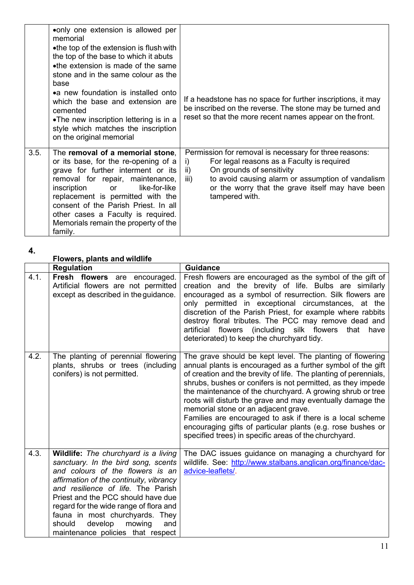|      | • only one extension is allowed per<br>memorial<br>•the top of the extension is flush with<br>the top of the base to which it abuts<br>•the extension is made of the same<br>stone and in the same colour as the<br>base<br>•a new foundation is installed onto<br>which the base and extension are<br>cemented<br>•The new inscription lettering is in a<br>style which matches the inscription<br>on the original memorial | If a headstone has no space for further inscriptions, it may<br>be inscribed on the reverse. The stone may be turned and<br>reset so that the more recent names appear on the front.                                                                                              |
|------|------------------------------------------------------------------------------------------------------------------------------------------------------------------------------------------------------------------------------------------------------------------------------------------------------------------------------------------------------------------------------------------------------------------------------|-----------------------------------------------------------------------------------------------------------------------------------------------------------------------------------------------------------------------------------------------------------------------------------|
| 3.5. | The removal of a memorial stone.<br>or its base, for the re-opening of a<br>grave for further interment or its<br>removal for repair, maintenance,<br>like-for-like<br>inscription<br><b>or</b><br>replacement is permitted with the<br>consent of the Parish Priest. In all<br>other cases a Faculty is required.<br>Memorials remain the property of the<br>family.                                                        | Permission for removal is necessary for three reasons:<br>For legal reasons as a Faculty is required<br>i)<br>On grounds of sensitivity<br>ii)<br>to avoid causing alarm or assumption of vandalism<br>iii)<br>or the worry that the grave itself may have been<br>tampered with. |

<span id="page-10-0"></span>**Flowers, plants and wildlife**

|      | <b>Regulation</b>                                                                                                                                                                                                                                                                                                                                                                              | <b>Guidance</b>                                                                                                                                                                                                                                                                                                                                                                                                                                                                                                                                                                                                      |
|------|------------------------------------------------------------------------------------------------------------------------------------------------------------------------------------------------------------------------------------------------------------------------------------------------------------------------------------------------------------------------------------------------|----------------------------------------------------------------------------------------------------------------------------------------------------------------------------------------------------------------------------------------------------------------------------------------------------------------------------------------------------------------------------------------------------------------------------------------------------------------------------------------------------------------------------------------------------------------------------------------------------------------------|
| 4.1. | Fresh flowers are encouraged.<br>Artificial flowers are not permitted<br>except as described in the guidance.                                                                                                                                                                                                                                                                                  | Fresh flowers are encouraged as the symbol of the gift of<br>creation and the brevity of life. Bulbs are similarly<br>encouraged as a symbol of resurrection. Silk flowers are<br>only permitted in exceptional circumstances, at the<br>discretion of the Parish Priest, for example where rabbits<br>destroy floral tributes. The PCC may remove dead and<br>flowers<br>(including silk flowers<br>artificial<br>that<br>have<br>deteriorated) to keep the churchyard tidy.                                                                                                                                        |
| 4.2. | The planting of perennial flowering<br>plants, shrubs or trees (including<br>conifers) is not permitted.                                                                                                                                                                                                                                                                                       | The grave should be kept level. The planting of flowering<br>annual plants is encouraged as a further symbol of the gift<br>of creation and the brevity of life. The planting of perennials,<br>shrubs, bushes or conifers is not permitted, as they impede<br>the maintenance of the churchyard. A growing shrub or tree<br>roots will disturb the grave and may eventually damage the<br>memorial stone or an adjacent grave.<br>Families are encouraged to ask if there is a local scheme<br>encouraging gifts of particular plants (e.g. rose bushes or<br>specified trees) in specific areas of the churchyard. |
| 4.3. | Wildlife: The churchyard is a living<br>sanctuary. In the bird song, scents<br>and colours of the flowers is an<br>affirmation of the continuity, vibrancy<br>and resilience of life. The Parish<br>Priest and the PCC should have due<br>regard for the wide range of flora and<br>fauna in most churchyards. They<br>should<br>develop<br>mowing<br>and<br>maintenance policies that respect | The DAC issues guidance on managing a churchyard for<br>wildlife. See: http://www.stalbans.anglican.org/finance/dac-<br>advice-leaflets/.                                                                                                                                                                                                                                                                                                                                                                                                                                                                            |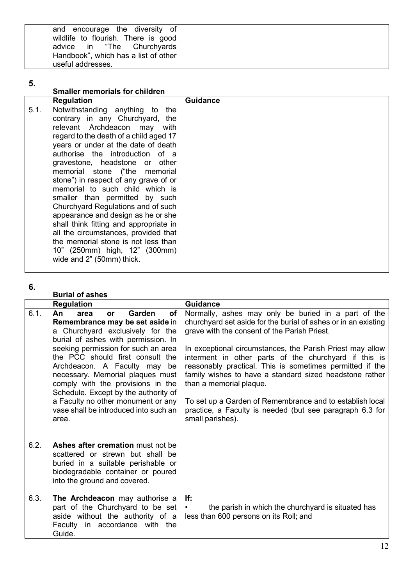| and encourage the diversity of       |
|--------------------------------------|
| wildlife to flourish. There is good  |
| advice in "The Churchyards           |
| Handbook", which has a list of other |
| useful addresses.                    |

<span id="page-11-0"></span>

| <b>Smaller memorials for children</b>                                                                                                                                                                                                                                                                                                                                                                                                                                                                                                                                                                                                                                                    |                 |
|------------------------------------------------------------------------------------------------------------------------------------------------------------------------------------------------------------------------------------------------------------------------------------------------------------------------------------------------------------------------------------------------------------------------------------------------------------------------------------------------------------------------------------------------------------------------------------------------------------------------------------------------------------------------------------------|-----------------|
| <b>Regulation</b>                                                                                                                                                                                                                                                                                                                                                                                                                                                                                                                                                                                                                                                                        | <b>Guidance</b> |
| 5.1.<br>Notwithstanding anything to<br>the<br>contrary in any Churchyard, the<br>relevant Archdeacon may<br>with<br>regard to the death of a child aged 17<br>years or under at the date of death<br>authorise the introduction of a<br>gravestone, headstone or other<br>memorial stone ("the memorial<br>stone") in respect of any grave of or<br>memorial to such child which is<br>smaller than permitted by such<br>Churchyard Regulations and of such<br>appearance and design as he or she<br>shall think fitting and appropriate in<br>all the circumstances, provided that<br>the memorial stone is not less than<br>10" (250mm) high, 12" (300mm)<br>wide and 2" (50mm) thick. |                 |

### **6.**

### <span id="page-11-1"></span>**Burial of ashes**

|      | <b>Regulation</b>                                                                                                                                                                                                                                                                                                                                                                                                                                                                       | <b>Guidance</b>                                                                                                                                                                                                                                                                                                                                                                                                                                                                                                                                                                           |
|------|-----------------------------------------------------------------------------------------------------------------------------------------------------------------------------------------------------------------------------------------------------------------------------------------------------------------------------------------------------------------------------------------------------------------------------------------------------------------------------------------|-------------------------------------------------------------------------------------------------------------------------------------------------------------------------------------------------------------------------------------------------------------------------------------------------------------------------------------------------------------------------------------------------------------------------------------------------------------------------------------------------------------------------------------------------------------------------------------------|
| 6.1. | <b>Garden</b><br><b>of</b><br>An<br>area<br><b>or</b><br>Remembrance may be set aside in<br>a Churchyard exclusively for the<br>burial of ashes with permission. In<br>seeking permission for such an area<br>the PCC should first consult the<br>Archdeacon. A Faculty may be<br>necessary. Memorial plaques must<br>comply with the provisions in the<br>Schedule. Except by the authority of<br>a Faculty no other monument or any<br>vase shall be introduced into such an<br>area. | Normally, ashes may only be buried in a part of the<br>churchyard set aside for the burial of ashes or in an existing<br>grave with the consent of the Parish Priest.<br>In exceptional circumstances, the Parish Priest may allow<br>interment in other parts of the churchyard if this is<br>reasonably practical. This is sometimes permitted if the<br>family wishes to have a standard sized headstone rather<br>than a memorial plaque.<br>To set up a Garden of Remembrance and to establish local<br>practice, a Faculty is needed (but see paragraph 6.3 for<br>small parishes). |
| 6.2. | Ashes after cremation must not be<br>scattered or strewn but shall be<br>buried in a suitable perishable or<br>biodegradable container or poured<br>into the ground and covered.                                                                                                                                                                                                                                                                                                        |                                                                                                                                                                                                                                                                                                                                                                                                                                                                                                                                                                                           |
| 6.3. | The Archdeacon may authorise a<br>part of the Churchyard to be set<br>aside without the authority of a<br>Faculty in accordance with the<br>Guide.                                                                                                                                                                                                                                                                                                                                      | lf:<br>the parish in which the churchyard is situated has<br>less than 600 persons on its Roll; and                                                                                                                                                                                                                                                                                                                                                                                                                                                                                       |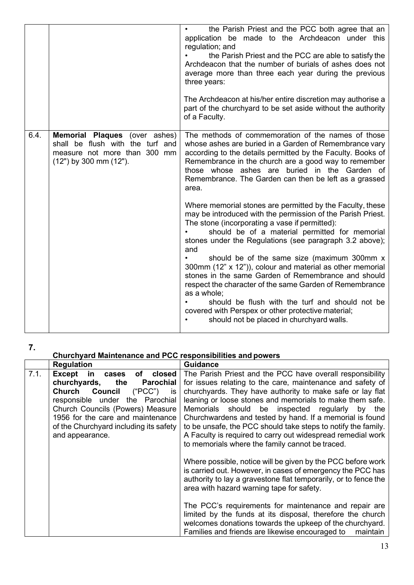<span id="page-12-0"></span>

|      |                                                                                                                                         | the Parish Priest and the PCC both agree that an<br>application be made to the Archdeacon under this<br>regulation; and<br>the Parish Priest and the PCC are able to satisfy the<br>Archdeacon that the number of burials of ashes does not<br>average more than three each year during the previous<br>three years:<br>The Archdeacon at his/her entire discretion may authorise a<br>part of the churchyard to be set aside without the authority<br>of a Faculty.                                                                                                                                                                                                                              |
|------|-----------------------------------------------------------------------------------------------------------------------------------------|---------------------------------------------------------------------------------------------------------------------------------------------------------------------------------------------------------------------------------------------------------------------------------------------------------------------------------------------------------------------------------------------------------------------------------------------------------------------------------------------------------------------------------------------------------------------------------------------------------------------------------------------------------------------------------------------------|
| 6.4. | <b>Memorial Plaques</b> (over ashes)<br>shall be flush with the turf and<br>measure not more than 300 mm<br>$(12")$ by 300 mm $(12")$ . | The methods of commemoration of the names of those<br>whose ashes are buried in a Garden of Remembrance vary<br>according to the details permitted by the Faculty. Books of<br>Remembrance in the church are a good way to remember<br>those whose ashes are buried in the Garden of<br>Remembrance. The Garden can then be left as a grassed<br>area.                                                                                                                                                                                                                                                                                                                                            |
|      |                                                                                                                                         | Where memorial stones are permitted by the Faculty, these<br>may be introduced with the permission of the Parish Priest.<br>The stone (incorporating a vase if permitted):<br>should be of a material permitted for memorial<br>stones under the Regulations (see paragraph 3.2 above);<br>and<br>should be of the same size (maximum 300mm x<br>300mm (12" x 12")), colour and material as other memorial<br>stones in the same Garden of Remembrance and should<br>respect the character of the same Garden of Remembrance<br>as a whole;<br>should be flush with the turf and should not be<br>covered with Perspex or other protective material;<br>should not be placed in churchyard walls. |

## **Churchyard Maintenance and PCC responsibilities and powers**

<span id="page-12-1"></span>

|      | <b>Regulation</b>                       | <b>Guidance</b>                                                                                                                                                                                                                                |
|------|-----------------------------------------|------------------------------------------------------------------------------------------------------------------------------------------------------------------------------------------------------------------------------------------------|
| 7.1. | Except<br>in<br>of closed<br>cases      | The Parish Priest and the PCC have overall responsibility                                                                                                                                                                                      |
|      | churchyards,<br>the<br><b>Parochial</b> | for issues relating to the care, maintenance and safety of                                                                                                                                                                                     |
|      | <b>Church Council</b><br>("PCC")<br>is. | churchyards. They have authority to make safe or lay flat                                                                                                                                                                                      |
|      | responsible under the Parochial         | leaning or loose stones and memorials to make them safe.                                                                                                                                                                                       |
|      | Church Councils (Powers) Measure        | Memorials should be inspected regularly by the                                                                                                                                                                                                 |
|      | 1956 for the care and maintenance       | Churchwardens and tested by hand. If a memorial is found                                                                                                                                                                                       |
|      | of the Churchyard including its safety  | to be unsafe, the PCC should take steps to notify the family.                                                                                                                                                                                  |
|      | and appearance.                         | A Faculty is required to carry out widespread remedial work                                                                                                                                                                                    |
|      |                                         | to memorials where the family cannot be traced.                                                                                                                                                                                                |
|      |                                         | Where possible, notice will be given by the PCC before work<br>is carried out. However, in cases of emergency the PCC has<br>authority to lay a gravestone flat temporarily, or to fence the<br>area with hazard warning tape for safety.      |
|      |                                         | The PCC's requirements for maintenance and repair are<br>limited by the funds at its disposal, therefore the church<br>welcomes donations towards the upkeep of the churchyard.<br>Families and friends are likewise encouraged to<br>maintain |